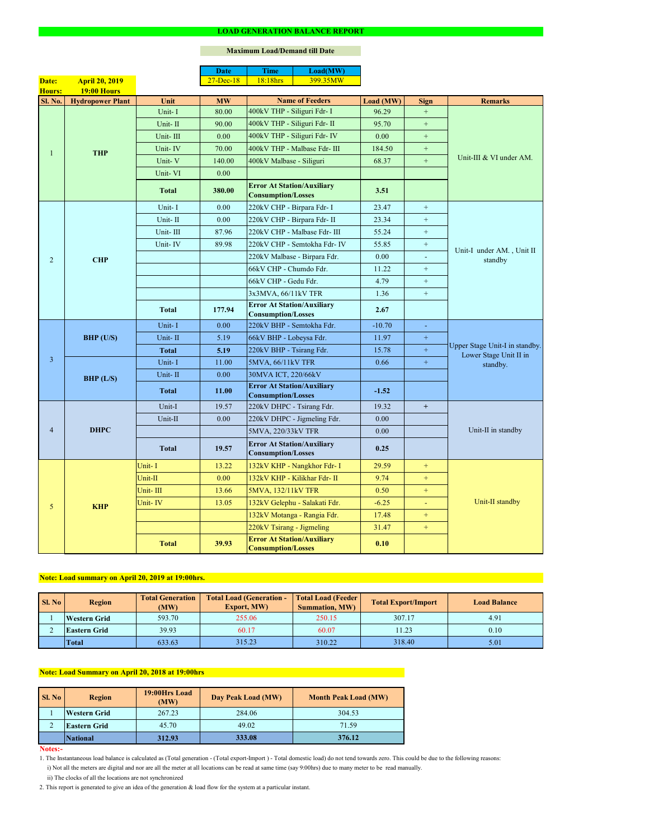#### **Notes:-**

|                |                         |              | <b>Date</b>       | <b>Time</b>                                                    | Load(MW)                      |           |                  |                                                                      |  |
|----------------|-------------------------|--------------|-------------------|----------------------------------------------------------------|-------------------------------|-----------|------------------|----------------------------------------------------------------------|--|
| Date:          | <b>April 20, 2019</b>   |              | $27 - Dec-18$     | 18:18hrs                                                       | 399.35MW                      |           |                  |                                                                      |  |
| <b>Hours:</b>  | <b>19:00 Hours</b>      |              |                   |                                                                |                               |           |                  |                                                                      |  |
| <b>Sl. No.</b> | <b>Hydropower Plant</b> | Unit         | <b>MW</b>         |                                                                | <b>Name of Feeders</b>        | Load (MW) | <b>Sign</b>      | <b>Remarks</b>                                                       |  |
|                |                         | Unit-I       | 80.00             | 400kV THP - Siliguri Fdr- I                                    |                               | 96.29     | $+$              |                                                                      |  |
|                |                         | Unit-II      | 90.00             | 400kV THP - Siliguri Fdr- II                                   |                               | 95.70     | $+$              | Unit-III & VI under AM.                                              |  |
|                |                         | Unit-III     | 0.00              |                                                                | 400kV THP - Siliguri Fdr- IV  | 0.00      | $+$              |                                                                      |  |
|                | <b>THP</b>              | Unit-IV      | 70.00             |                                                                | 400kV THP - Malbase Fdr- III  | 184.50    | $+$              |                                                                      |  |
|                |                         | Unit-V       | 140.00            | 400kV Malbase - Siliguri                                       |                               | 68.37     | $+$              |                                                                      |  |
|                |                         | Unit-VI      | 0.00              |                                                                |                               |           |                  |                                                                      |  |
|                |                         | <b>Total</b> | 380.00            | <b>Error At Station/Auxiliary</b><br><b>Consumption/Losses</b> |                               | 3.51      |                  |                                                                      |  |
|                |                         | Unit-I       | 0.00              | 220kV CHP - Birpara Fdr- I                                     |                               | 23.47     | $+$              |                                                                      |  |
|                |                         | Unit-II      | 0.00              | 220kV CHP - Birpara Fdr- II                                    |                               | 23.34     | $+$              |                                                                      |  |
|                |                         | Unit-III     | 87.96             |                                                                | 220kV CHP - Malbase Fdr- III  | 55.24     | $\boldsymbol{+}$ |                                                                      |  |
|                |                         | Unit-IV      | 89.98             |                                                                | 220kV CHP - Semtokha Fdr- IV  | 55.85     | $+$              |                                                                      |  |
| $\overline{2}$ | <b>CHP</b>              |              |                   |                                                                | 220kV Malbase - Birpara Fdr.  | 0.00      | $\blacksquare$   | Unit-I under AM., Unit II<br>standby                                 |  |
|                |                         |              |                   | 66kV CHP - Chumdo Fdr.                                         |                               | 11.22     | $+$              |                                                                      |  |
|                |                         |              |                   | 66kV CHP - Gedu Fdr.                                           |                               | 4.79      | $+$              |                                                                      |  |
|                |                         |              |                   | 3x3MVA, 66/11kV TFR                                            |                               | 1.36      | $+$              |                                                                      |  |
|                |                         | <b>Total</b> | 177.94            | <b>Error At Station/Auxiliary</b><br><b>Consumption/Losses</b> |                               | 2.67      |                  |                                                                      |  |
|                | BHP (U/S)               | Unit-I       | 0.00              | 220kV BHP - Semtokha Fdr.                                      |                               | $-10.70$  | $\equiv$         | Upper Stage Unit-I in standby.<br>Lower Stage Unit II in<br>standby. |  |
|                |                         | Unit-II      | 5.19              | 66kV BHP - Lobeysa Fdr.                                        |                               | 11.97     | $\boldsymbol{+}$ |                                                                      |  |
|                |                         | <b>Total</b> | 5.19              | 220kV BHP - Tsirang Fdr.                                       |                               | 15.78     | $+$              |                                                                      |  |
| $\overline{3}$ |                         | Unit-I       | 11.00             | 5MVA, 66/11kV TFR                                              |                               | 0.66      | $\pm$            |                                                                      |  |
|                | BHP (L/S)               | Unit-II      | 0.00              | 30MVA ICT, 220/66kV                                            |                               |           |                  |                                                                      |  |
|                |                         | <b>Total</b> | 11.00             | <b>Error At Station/Auxiliary</b><br><b>Consumption/Losses</b> |                               | $-1.52$   |                  |                                                                      |  |
|                | <b>DHPC</b>             | Unit-I       | 19.57             | 220kV DHPC - Tsirang Fdr.                                      |                               | 19.32     | $+$              |                                                                      |  |
|                |                         | Unit-II      | 0.00              |                                                                | 220kV DHPC - Jigmeling Fdr.   | 0.00      |                  |                                                                      |  |
| $\overline{4}$ |                         |              |                   | 5MVA, 220/33kV TFR                                             |                               | 0.00      |                  | Unit-II in standby                                                   |  |
|                |                         | <b>Total</b> | 19.57             | <b>Error At Station/Auxiliary</b><br><b>Consumption/Losses</b> |                               | 0.25      |                  |                                                                      |  |
|                |                         | Unit-I       | 13.22             |                                                                | 132kV KHP - Nangkhor Fdr- I   | 29.59     | $\pm$            |                                                                      |  |
|                |                         | Unit-II      | 0.00 <sub>1</sub> |                                                                | 132kV KHP - Kilikhar Fdr- II  | 9.74      | $+$              |                                                                      |  |
|                |                         | Unit-III     | 13.66             | 5MVA, 132/11kV TFR                                             |                               | 0.50      | $+$              |                                                                      |  |
| 5              | <b>KHP</b>              | Unit-IV      | 13.05             |                                                                | 132kV Gelephu - Salakati Fdr. | $-6.25$   |                  | Unit-II standby                                                      |  |
|                |                         |              |                   |                                                                | 132kV Motanga - Rangia Fdr.   | 17.48     | $+$              |                                                                      |  |
|                |                         |              |                   | 220kV Tsirang - Jigmeling                                      |                               | 31.47     | $+$              |                                                                      |  |
|                |                         | <b>Total</b> | 39.93             | <b>Error At Station/Auxiliary</b><br><b>Consumption/Losses</b> |                               | 0.10      |                  |                                                                      |  |

#### **LOAD GENERATION BALANCE REPORT**

| Sl. No | <b>Total Generation</b><br><b>Region</b><br>(MW) |                | <b>Total Load (Generation -</b><br><b>Export, MW)</b> | <b>Total Load (Feeder)</b><br><b>Summation, MW)</b> | <b>Total Export/Import</b> | <b>Load Balance</b> |
|--------|--------------------------------------------------|----------------|-------------------------------------------------------|-----------------------------------------------------|----------------------------|---------------------|
|        | <b>Western Grid</b>                              | 593.70         | 255.06                                                | 250.15                                              | 307.17                     | 4.91                |
|        | <b>Eastern Grid</b>                              | 60.17<br>39.93 |                                                       | 60.07                                               | 11.23                      | 0.10                |
|        | <b>Total</b>                                     | 633.63         | 315.23                                                | 310.22                                              | 318.40                     | 5.01                |

| <b>Sl. No</b> | <b>Region</b>       | 19:00Hrs Load<br>(MW) | Day Peak Load (MW) | <b>Month Peak Load (MW)</b> |  |
|---------------|---------------------|-----------------------|--------------------|-----------------------------|--|
|               | <b>Western Grid</b> | 267.23                | 284.06             | 304.53                      |  |
|               | <b>Eastern Grid</b> | 45.70                 | 49.02              | 71.59                       |  |
|               | <b>National</b>     | 312.93                | 333.08             | 376.12                      |  |

# **Note: Load Summary on April 20, 2018 at 19:00hrs**

# **Note: Load summary on April 20, 2019 at 19:00hrs.**

- 1. The Instantaneous load balance is calculated as (Total generation (Total export-Import ) Total domestic load) do not tend towards zero. This could be due to the following reasons:
	- i) Not all the meters are digital and nor are all the meter at all locations can be read at same time (say 9:00hrs) due to many meter to be read manually.
	- ii) The clocks of all the locations are not synchronized
- 2. This report is generated to give an idea of the generation & load flow for the system at a particular instant.

### **Maximum Load/Demand till Date**